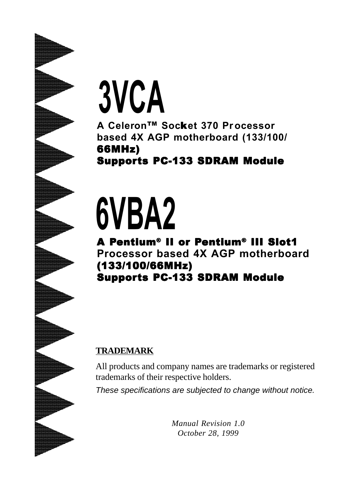# **3VCA**

**A Celeron**TM **Soc**k**et 370 Processor based 4X AGP motherboard (133/100/** 66MHz)

**Supports PC-133 SDRAM Module** 

# **6VBA2**

A Pentium® II or Pentium® III Slot1 **Processor based 4X AGP motherboard** (133/100/66MHz) (133/100/66MHz)(133/100/66MHz) **Supports PC-133 SDRAM Module** 

#### **TRADEMARK**

All products and company names are trademarks or registered trademarks of their respective holders.

*These specifications are subjected to change without notice.*

*Manual Revision 1.0 October 28, 1999*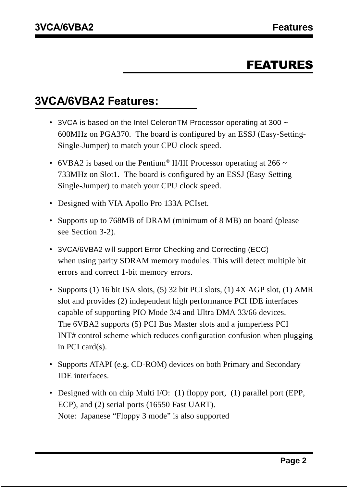# FEATURES

# **3VCA/6VBA2 Features:**

- 3VCA is based on the Intel Celeron TM Processor operating at 300  $\sim$ 600MHz on PGA370. The board is configured by an ESSJ (Easy-Setting-Single-Jumper) to match your CPU clock speed.
- 6VBA2 is based on the Pentium<sup>®</sup> II/III Processor operating at 266  $\sim$ 733MHz on Slot1. The board is configured by an ESSJ (Easy-Setting-Single-Jumper) to match your CPU clock speed.
- Designed with VIA Apollo Pro 133A PCIset.
- Supports up to 768MB of DRAM (minimum of 8 MB) on board (please see Section 3-2).
- 3VCA/6VBA2 will support Error Checking and Correcting (ECC) when using parity SDRAM memory modules. This will detect multiple bit errors and correct 1-bit memory errors.
- Supports (1) 16 bit ISA slots, (5) 32 bit PCI slots, (1)  $4X$  AGP slot, (1) AMR slot and provides (2) independent high performance PCI IDE interfaces capable of supporting PIO Mode 3/4 and Ultra DMA 33/66 devices. The 6VBA2 supports (5) PCI Bus Master slots and a jumperless PCI INT# control scheme which reduces configuration confusion when plugging in PCI card(s).
- Supports ATAPI (e.g. CD-ROM) devices on both Primary and Secondary IDE interfaces.
- Designed with on chip Multi I/O: (1) floppy port, (1) parallel port (EPP, ECP), and (2) serial ports (16550 Fast UART). Note: Japanese "Floppy 3 mode" is also supported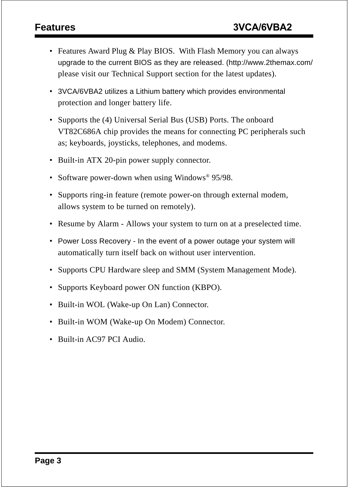- Features Award Plug & Play BIOS. With Flash Memory you can always upgrade to the current BIOS as they are released. (http://www.2themax.com/ please visit our Technical Support section for the latest updates).
- 3VCA/6VBA2 utilizes a Lithium battery which provides environmental protection and longer battery life.
- Supports the (4) Universal Serial Bus (USB) Ports. The onboard VT82C686A chip provides the means for connecting PC peripherals such as; keyboards, joysticks, telephones, and modems.
- Built-in ATX 20-pin power supply connector.
- Software power-down when using Windows<sup>®</sup> 95/98.
- Supports ring-in feature (remote power-on through external modem, allows system to be turned on remotely).
- Resume by Alarm Allows your system to turn on at a preselected time.
- Power Loss Recovery In the event of a power outage your system will automatically turn itself back on without user intervention.
- Supports CPU Hardware sleep and SMM (System Management Mode).
- Supports Keyboard power ON function (KBPO).
- Built-in WOL (Wake-up On Lan) Connector.
- Built-in WOM (Wake-up On Modem) Connector.
- Built-in AC97 PCI Audio.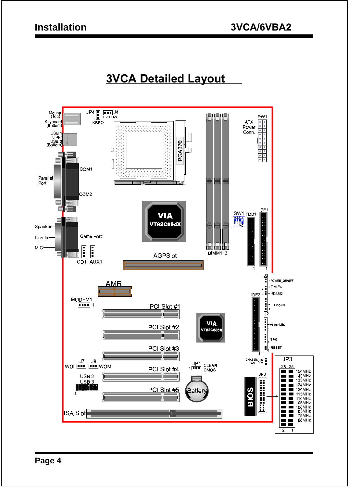# **3VCA Detailed Layout**

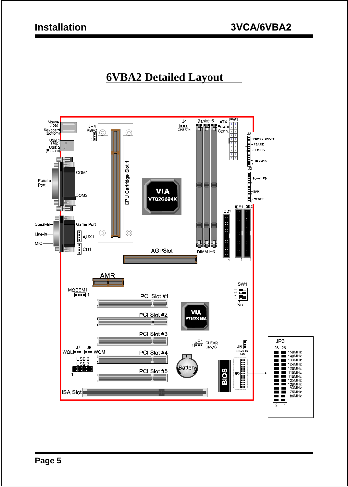# **6VBA2 Detailed Layout**

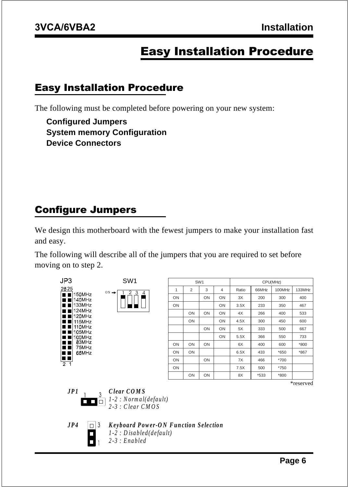# Easy Installation Procedure

#### Easy Installation Procedure

The following must be completed before powering on your new system:

**Configured Jumpers System memory Configuration Device Connectors**

### Configure Jumpers

We design this motherboard with the fewest jumpers to make your installation fast and easy.

The following will describe all of the jumpers that you are required to set before moving on to step 2.

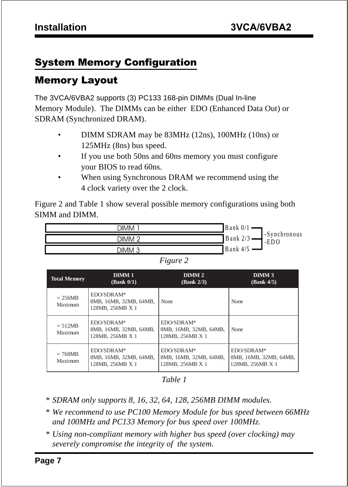# System Memory Configuration

# Memory Layout

The 3VCA/6VBA2 supports (3) PC133 168-pin DIMMs (Dual In-line Memory Module). The DIMMs can be either EDO (Enhanced Data Out) or SDRAM (Synchronized DRAM).

- DIMM SDRAM may be 83MHz (12ns), 100MHz (10ns) or 125MHz (8ns) bus speed.
- If you use both 50ns and 60ns memory you must configure your BIOS to read 60ns.
- When using Synchronous DRAM we recommend using the 4 clock variety over the 2 clock.

Figure 2 and Table 1 show several possible memory configurations using both SIMM and DIMM.



| weure |  |
|-------|--|
|       |  |

| <b>Total Memory</b>  | DIMM <sub>1</sub><br>(Bank 0/1)                          | DIMM <sub>2</sub><br>(Bank 2/3)                          | DIMM <sub>3</sub><br>(Bank 4/5)                          |
|----------------------|----------------------------------------------------------|----------------------------------------------------------|----------------------------------------------------------|
| $= 256MB$<br>Maximum | EDO/SDRAM*<br>8MB, 16MB, 32MB, 64MB,<br>128MB, 256MB X 1 | None                                                     | None                                                     |
| $= 512MB$<br>Maximum | EDO/SDRAM*<br>8MB, 16MB, 32MB, 64MB,<br>128MB, 256MB X 1 | EDO/SDRAM*<br>8MB, 16MB, 32MB, 64MB,<br>128MB, 256MB X 1 | None                                                     |
| $= 768MB$<br>Maximum | EDO/SDRAM*<br>8MB, 16MB, 32MB, 64MB,<br>128MB, 256MB X 1 | EDO/SDRAM*<br>8MB, 16MB, 32MB, 64MB,<br>128MB, 256MB X 1 | EDO/SDRAM*<br>8MB, 16MB, 32MB, 64MB,<br>128MB, 256MB X 1 |

*Table 1*

- *\* SDRAM only supports 8, 16, 32, 64, 128, 256MB DIMM modules.*
- *\* We recommend to use PC100 Memory Module for bus speed between 66MHz and 100MHz and PC133 Memory for bus speed over 100MHz.*
- *\* Using non-compliant memory with higher bus speed (over clocking) may severely compromise the integrity of the system.*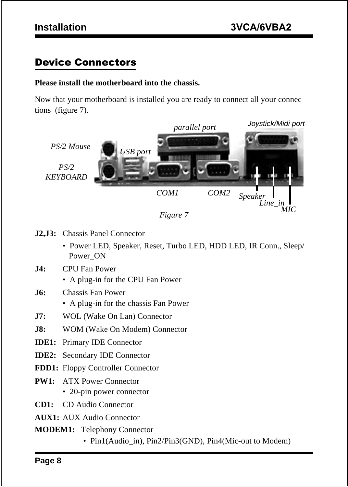### Device Connectors

#### **Please install the motherboard into the chassis.**

Now that your motherboard is installed you are ready to connect all your connections (figure 7).





- **J2,J3:** Chassis Panel Connector
	- Power LED, Speaker, Reset, Turbo LED, HDD LED, IR Conn., Sleep/ Power\_ON
- **J4:** CPU Fan Power
	- A plug-in for the CPU Fan Power
- **J6:** Chassis Fan Power
	- A plug-in for the chassis Fan Power
- **J7:** WOL (Wake On Lan) Connector
- **J8:** WOM (Wake On Modem) Connector
- **IDE1:** Primary IDE Connector
- **IDE2:** Secondary IDE Connector
- **FDD1:** Floppy Controller Connector
- **PW1:** ATX Power Connector
	- 20-pin power connector
- **CD1:** CD Audio Connector
- **AUX1:** AUX Audio Connector
- **MODEM1:** Telephony Connector
	- Pin1(Audio in), Pin2/Pin3(GND), Pin4(Mic-out to Modem)